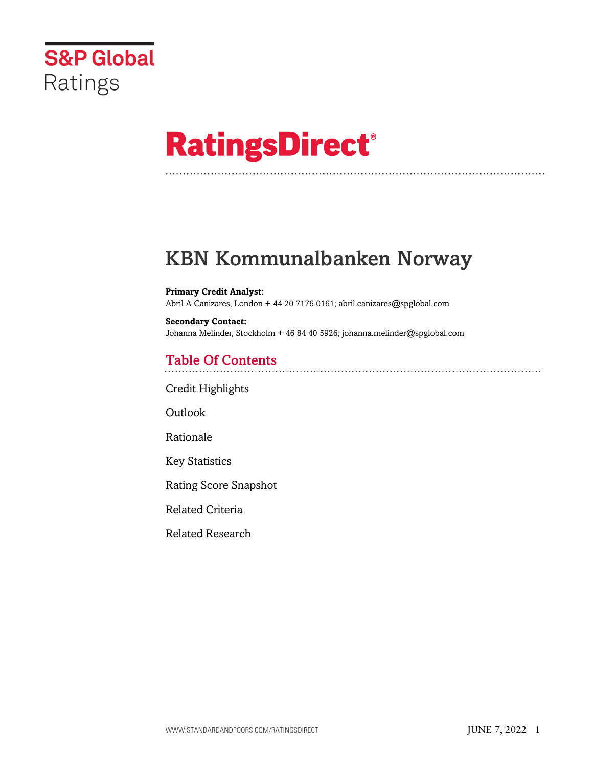

# **RatingsDirect®**

# KBN Kommunalbanken Norway

#### **Primary Credit Analyst:** Abril A Canizares, London + 44 20 7176 0161; abril.canizares@spglobal.com

**Secondary Contact:** Johanna Melinder, Stockholm + 46 84 40 5926; johanna.melinder@spglobal.com

# Table Of Contents

[Credit Highlights](#page-1-0)

[Outlook](#page-1-1)

[Rationale](#page-2-0)

[Key Statistics](#page-5-0)

[Rating Score Snapshot](#page-6-0)

[Related Criteria](#page-6-1)

[Related Research](#page-6-2)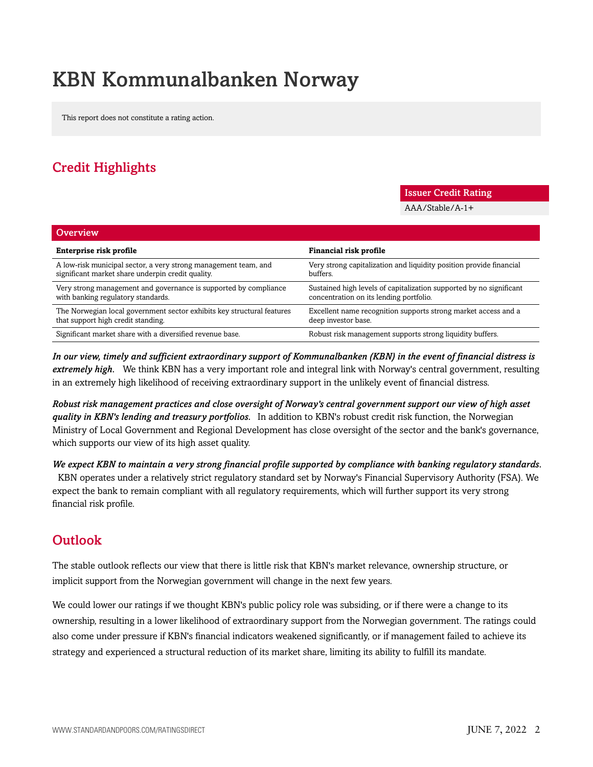# KBN Kommunalbanken Norway

This report does not constitute a rating action.

# <span id="page-1-0"></span>Credit Highlights

#### Issuer Credit Rating

AAA/Stable/A-1+

| <b>Overview</b>                                                        |                                                                     |
|------------------------------------------------------------------------|---------------------------------------------------------------------|
| Enterprise risk profile                                                | Financial risk profile                                              |
| A low-risk municipal sector, a very strong management team, and        | Very strong capitalization and liquidity position provide financial |
| significant market share underpin credit quality.                      | buffers.                                                            |
| Very strong management and governance is supported by compliance       | Sustained high levels of capitalization supported by no significant |
| with banking regulatory standards.                                     | concentration on its lending portfolio.                             |
| The Norwegian local government sector exhibits key structural features | Excellent name recognition supports strong market access and a      |
| that support high credit standing.                                     | deep investor base.                                                 |
| Significant market share with a diversified revenue base.              | Robust risk management supports strong liquidity buffers.           |

*In our view, timely and sufficient extraordinary support of Kommunalbanken (KBN) in the event of financial distress is extremely high.* We think KBN has a very important role and integral link with Norway's central government, resulting in an extremely high likelihood of receiving extraordinary support in the unlikely event of financial distress.

*Robust risk management practices and close oversight of Norway's central government support our view of high asset quality in KBN's lending and treasury portfolios.* In addition to KBN's robust credit risk function, the Norwegian Ministry of Local Government and Regional Development has close oversight of the sector and the bank's governance, which supports our view of its high asset quality.

*We expect KBN to maintain a very strong financial profile supported by compliance with banking regulatory standards.* KBN operates under a relatively strict regulatory standard set by Norway's Financial Supervisory Authority (FSA). We expect the bank to remain compliant with all regulatory requirements, which will further support its very strong financial risk profile.

# <span id="page-1-1"></span>**Outlook**

The stable outlook reflects our view that there is little risk that KBN's market relevance, ownership structure, or implicit support from the Norwegian government will change in the next few years.

We could lower our ratings if we thought KBN's public policy role was subsiding, or if there were a change to its ownership, resulting in a lower likelihood of extraordinary support from the Norwegian government. The ratings could also come under pressure if KBN's financial indicators weakened significantly, or if management failed to achieve its strategy and experienced a structural reduction of its market share, limiting its ability to fulfill its mandate.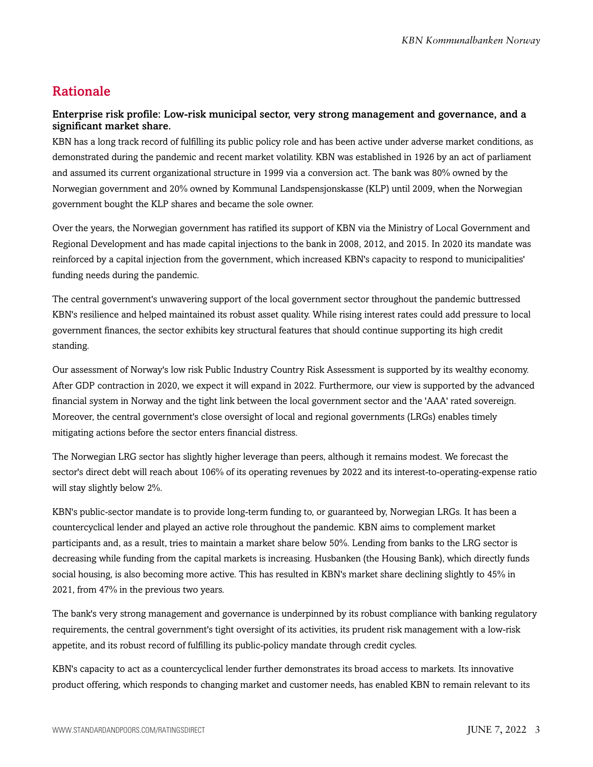### <span id="page-2-0"></span>Rationale

#### Enterprise risk profile: Low-risk municipal sector, very strong management and governance, and a significant market share.

KBN has a long track record of fulfilling its public policy role and has been active under adverse market conditions, as demonstrated during the pandemic and recent market volatility. KBN was established in 1926 by an act of parliament and assumed its current organizational structure in 1999 via a conversion act. The bank was 80% owned by the Norwegian government and 20% owned by Kommunal Landspensjonskasse (KLP) until 2009, when the Norwegian government bought the KLP shares and became the sole owner.

Over the years, the Norwegian government has ratified its support of KBN via the Ministry of Local Government and Regional Development and has made capital injections to the bank in 2008, 2012, and 2015. In 2020 its mandate was reinforced by a capital injection from the government, which increased KBN's capacity to respond to municipalities' funding needs during the pandemic.

The central government's unwavering support of the local government sector throughout the pandemic buttressed KBN's resilience and helped maintained its robust asset quality. While rising interest rates could add pressure to local government finances, the sector exhibits key structural features that should continue supporting its high credit standing.

Our assessment of Norway's low risk Public Industry Country Risk Assessment is supported by its wealthy economy. After GDP contraction in 2020, we expect it will expand in 2022. Furthermore, our view is supported by the advanced financial system in Norway and the tight link between the local government sector and the 'AAA' rated sovereign. Moreover, the central government's close oversight of local and regional governments (LRGs) enables timely mitigating actions before the sector enters financial distress.

The Norwegian LRG sector has slightly higher leverage than peers, although it remains modest. We forecast the sector's direct debt will reach about 106% of its operating revenues by 2022 and its interest-to-operating-expense ratio will stay slightly below 2%.

KBN's public-sector mandate is to provide long-term funding to, or guaranteed by, Norwegian LRGs. It has been a countercyclical lender and played an active role throughout the pandemic. KBN aims to complement market participants and, as a result, tries to maintain a market share below 50%. Lending from banks to the LRG sector is decreasing while funding from the capital markets is increasing. Husbanken (the Housing Bank), which directly funds social housing, is also becoming more active. This has resulted in KBN's market share declining slightly to 45% in 2021, from 47% in the previous two years.

The bank's very strong management and governance is underpinned by its robust compliance with banking regulatory requirements, the central government's tight oversight of its activities, its prudent risk management with a low-risk appetite, and its robust record of fulfilling its public-policy mandate through credit cycles.

KBN's capacity to act as a countercyclical lender further demonstrates its broad access to markets. Its innovative product offering, which responds to changing market and customer needs, has enabled KBN to remain relevant to its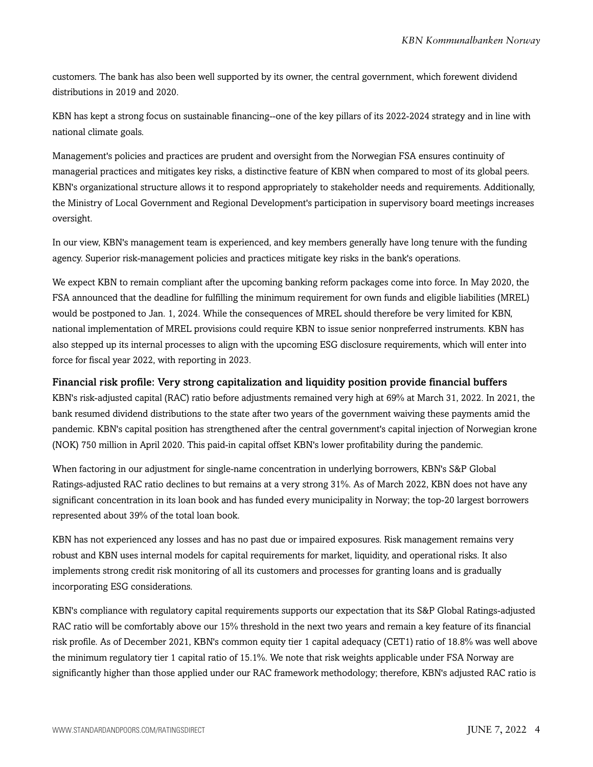customers. The bank has also been well supported by its owner, the central government, which forewent dividend distributions in 2019 and 2020.

KBN has kept a strong focus on sustainable financing--one of the key pillars of its 2022-2024 strategy and in line with national climate goals.

Management's policies and practices are prudent and oversight from the Norwegian FSA ensures continuity of managerial practices and mitigates key risks, a distinctive feature of KBN when compared to most of its global peers. KBN's organizational structure allows it to respond appropriately to stakeholder needs and requirements. Additionally, the Ministry of Local Government and Regional Development's participation in supervisory board meetings increases oversight.

In our view, KBN's management team is experienced, and key members generally have long tenure with the funding agency. Superior risk-management policies and practices mitigate key risks in the bank's operations.

We expect KBN to remain compliant after the upcoming banking reform packages come into force. In May 2020, the FSA announced that the deadline for fulfilling the minimum requirement for own funds and eligible liabilities (MREL) would be postponed to Jan. 1, 2024. While the consequences of MREL should therefore be very limited for KBN, national implementation of MREL provisions could require KBN to issue senior nonpreferred instruments. KBN has also stepped up its internal processes to align with the upcoming ESG disclosure requirements, which will enter into force for fiscal year 2022, with reporting in 2023.

#### Financial risk profile: Very strong capitalization and liquidity position provide financial buffers

KBN's risk-adjusted capital (RAC) ratio before adjustments remained very high at 69% at March 31, 2022. In 2021, the bank resumed dividend distributions to the state after two years of the government waiving these payments amid the pandemic. KBN's capital position has strengthened after the central government's capital injection of Norwegian krone (NOK) 750 million in April 2020. This paid-in capital offset KBN's lower profitability during the pandemic.

When factoring in our adjustment for single-name concentration in underlying borrowers, KBN's S&P Global Ratings-adjusted RAC ratio declines to but remains at a very strong 31%. As of March 2022, KBN does not have any significant concentration in its loan book and has funded every municipality in Norway; the top-20 largest borrowers represented about 39% of the total loan book.

KBN has not experienced any losses and has no past due or impaired exposures. Risk management remains very robust and KBN uses internal models for capital requirements for market, liquidity, and operational risks. It also implements strong credit risk monitoring of all its customers and processes for granting loans and is gradually incorporating ESG considerations.

KBN's compliance with regulatory capital requirements supports our expectation that its S&P Global Ratings-adjusted RAC ratio will be comfortably above our 15% threshold in the next two years and remain a key feature of its financial risk profile. As of December 2021, KBN's common equity tier 1 capital adequacy (CET1) ratio of 18.8% was well above the minimum regulatory tier 1 capital ratio of 15.1%. We note that risk weights applicable under FSA Norway are significantly higher than those applied under our RAC framework methodology; therefore, KBN's adjusted RAC ratio is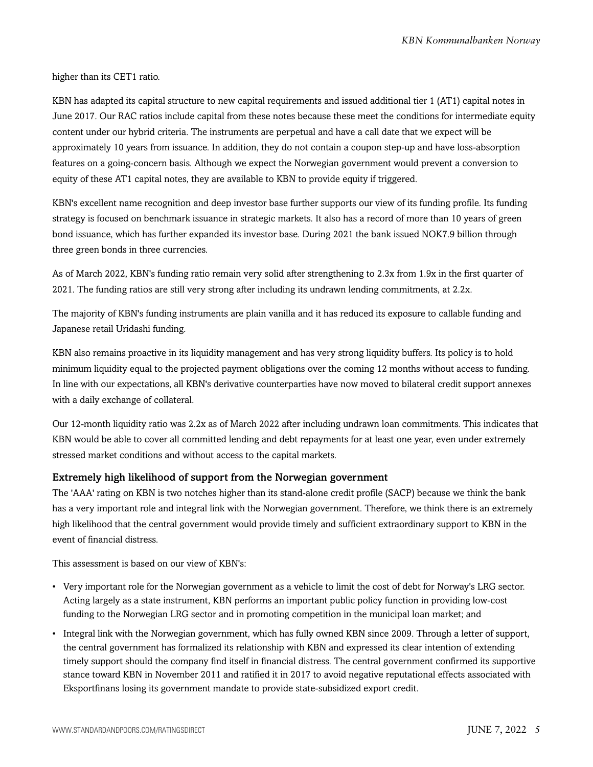higher than its CET1 ratio.

KBN has adapted its capital structure to new capital requirements and issued additional tier 1 (AT1) capital notes in June 2017. Our RAC ratios include capital from these notes because these meet the conditions for intermediate equity content under our hybrid criteria. The instruments are perpetual and have a call date that we expect will be approximately 10 years from issuance. In addition, they do not contain a coupon step-up and have loss-absorption features on a going-concern basis. Although we expect the Norwegian government would prevent a conversion to equity of these AT1 capital notes, they are available to KBN to provide equity if triggered.

KBN's excellent name recognition and deep investor base further supports our view of its funding profile. Its funding strategy is focused on benchmark issuance in strategic markets. It also has a record of more than 10 years of green bond issuance, which has further expanded its investor base. During 2021 the bank issued NOK7.9 billion through three green bonds in three currencies.

As of March 2022, KBN's funding ratio remain very solid after strengthening to 2.3x from 1.9x in the first quarter of 2021. The funding ratios are still very strong after including its undrawn lending commitments, at 2.2x.

The majority of KBN's funding instruments are plain vanilla and it has reduced its exposure to callable funding and Japanese retail Uridashi funding.

KBN also remains proactive in its liquidity management and has very strong liquidity buffers. Its policy is to hold minimum liquidity equal to the projected payment obligations over the coming 12 months without access to funding. In line with our expectations, all KBN's derivative counterparties have now moved to bilateral credit support annexes with a daily exchange of collateral.

Our 12-month liquidity ratio was 2.2x as of March 2022 after including undrawn loan commitments. This indicates that KBN would be able to cover all committed lending and debt repayments for at least one year, even under extremely stressed market conditions and without access to the capital markets.

#### Extremely high likelihood of support from the Norwegian government

The 'AAA' rating on KBN is two notches higher than its stand-alone credit profile (SACP) because we think the bank has a very important role and integral link with the Norwegian government. Therefore, we think there is an extremely high likelihood that the central government would provide timely and sufficient extraordinary support to KBN in the event of financial distress.

This assessment is based on our view of KBN's:

- Very important role for the Norwegian government as a vehicle to limit the cost of debt for Norway's LRG sector. Acting largely as a state instrument, KBN performs an important public policy function in providing low-cost funding to the Norwegian LRG sector and in promoting competition in the municipal loan market; and
- Integral link with the Norwegian government, which has fully owned KBN since 2009. Through a letter of support, the central government has formalized its relationship with KBN and expressed its clear intention of extending timely support should the company find itself in financial distress. The central government confirmed its supportive stance toward KBN in November 2011 and ratified it in 2017 to avoid negative reputational effects associated with Eksportfinans losing its government mandate to provide state-subsidized export credit.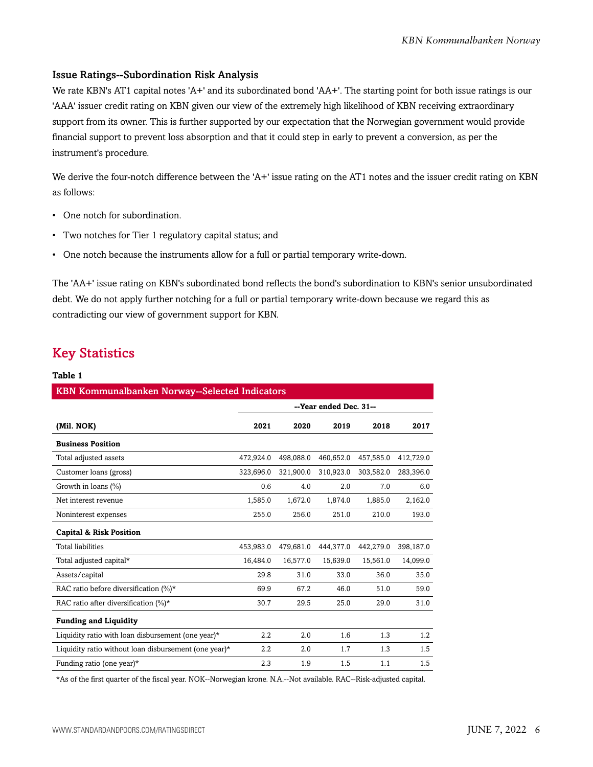#### Issue Ratings--Subordination Risk Analysis

We rate KBN's AT1 capital notes 'A+' and its subordinated bond 'AA+'. The starting point for both issue ratings is our 'AAA' issuer credit rating on KBN given our view of the extremely high likelihood of KBN receiving extraordinary support from its owner. This is further supported by our expectation that the Norwegian government would provide financial support to prevent loss absorption and that it could step in early to prevent a conversion, as per the instrument's procedure.

We derive the four-notch difference between the 'A+' issue rating on the AT1 notes and the issuer credit rating on KBN as follows:

- One notch for subordination.
- Two notches for Tier 1 regulatory capital status; and
- One notch because the instruments allow for a full or partial temporary write-down.

The 'AA+' issue rating on KBN's subordinated bond reflects the bond's subordination to KBN's senior unsubordinated debt. We do not apply further notching for a full or partial temporary write-down because we regard this as contradicting our view of government support for KBN.

## <span id="page-5-0"></span>Key Statistics

#### **Table 1**

| <b>KBN Kommunalbanken Norway--Selected Indicators</b> |                        |           |           |           |           |  |
|-------------------------------------------------------|------------------------|-----------|-----------|-----------|-----------|--|
|                                                       | --Year ended Dec. 31-- |           |           |           |           |  |
| (Mil. NOK)                                            | 2021                   | 2020      | 2019      | 2018      | 2017      |  |
| <b>Business Position</b>                              |                        |           |           |           |           |  |
| Total adjusted assets                                 | 472,924.0              | 498,088.0 | 460,652.0 | 457,585.0 | 412,729.0 |  |
| Customer loans (gross)                                | 323,696.0              | 321,900.0 | 310,923.0 | 303,582.0 | 283,396.0 |  |
| Growth in loans (%)                                   | 0.6                    | 4.0       | 2.0       | 7.0       | 6.0       |  |
| Net interest revenue                                  | 1,585.0                | 1,672.0   | 1,874.0   | 1,885.0   | 2,162.0   |  |
| Noninterest expenses                                  | 255.0                  | 256.0     | 251.0     | 210.0     | 193.0     |  |
| <b>Capital &amp; Risk Position</b>                    |                        |           |           |           |           |  |
| <b>Total liabilities</b>                              | 453,983.0              | 479,681.0 | 444,377.0 | 442,279.0 | 398,187.0 |  |
| Total adjusted capital*                               | 16,484.0               | 16,577.0  | 15,639.0  | 15,561.0  | 14,099.0  |  |
| Assets/capital                                        | 29.8                   | 31.0      | 33.0      | 36.0      | 35.0      |  |
| RAC ratio before diversification $(\%)^*$             | 69.9                   | 67.2      | 46.0      | 51.0      | 59.0      |  |
| RAC ratio after diversification $(\%)^*$              | 30.7                   | 29.5      | 25.0      | 29.0      | 31.0      |  |
| <b>Funding and Liquidity</b>                          |                        |           |           |           |           |  |
| Liquidity ratio with loan disbursement (one year)*    | 2.2                    | 2.0       | 1.6       | 1.3       | 1.2       |  |
| Liquidity ratio without loan disbursement (one year)* | 2.2                    | 2.0       | 1.7       | 1.3       | 1.5       |  |
| Funding ratio (one year) $*$                          | 2.3                    | 1.9       | 1.5       | 1.1       | 1.5       |  |

\*As of the first quarter of the fiscal year. NOK--Norwegian krone. N.A.--Not available. RAC--Risk-adjusted capital.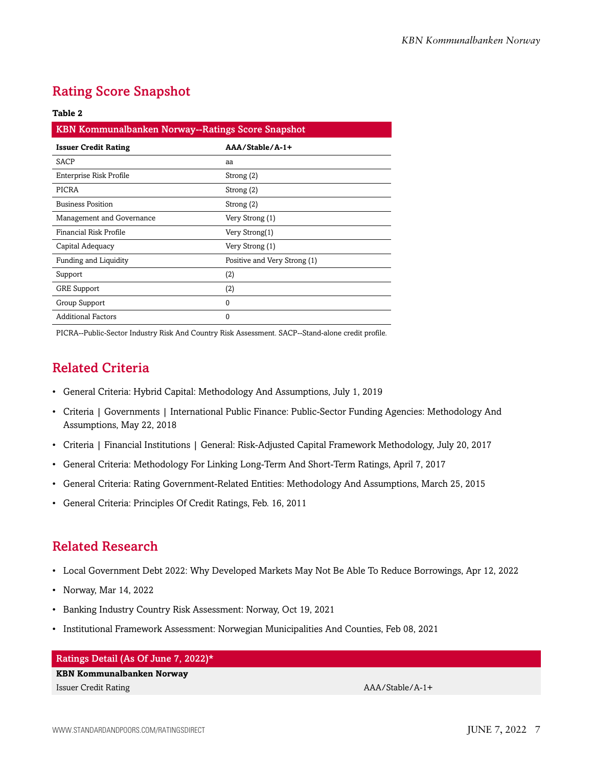# <span id="page-6-0"></span>Rating Score Snapshot

#### **Table 2**

| KBN Kommunalbanken Norway--Ratings Score Snapshot |                              |  |  |
|---------------------------------------------------|------------------------------|--|--|
| <b>Issuer Credit Rating</b>                       | AAA/Stable/A-1+              |  |  |
| SACP                                              | aa                           |  |  |
| Enterprise Risk Profile                           | Strong (2)                   |  |  |
| PICRA                                             | Strong (2)                   |  |  |
| <b>Business Position</b>                          | Strong (2)                   |  |  |
| Management and Governance                         | Very Strong (1)              |  |  |
| Financial Risk Profile                            | Very Strong(1)               |  |  |
| Capital Adequacy                                  | Very Strong (1)              |  |  |
| Funding and Liquidity                             | Positive and Very Strong (1) |  |  |
| Support                                           | (2)                          |  |  |
| <b>GRE Support</b>                                | (2)                          |  |  |
| Group Support                                     | $\Omega$                     |  |  |
| <b>Additional Factors</b>                         | 0                            |  |  |

<span id="page-6-1"></span>PICRA--Public-Sector Industry Risk And Country Risk Assessment. SACP--Stand-alone credit profile.

# Related Criteria

- General Criteria: Hybrid Capital: Methodology And Assumptions, July 1, 2019
- Criteria | Governments | International Public Finance: Public-Sector Funding Agencies: Methodology And Assumptions, May 22, 2018
- Criteria | Financial Institutions | General: Risk-Adjusted Capital Framework Methodology, July 20, 2017
- General Criteria: Methodology For Linking Long-Term And Short-Term Ratings, April 7, 2017
- General Criteria: Rating Government-Related Entities: Methodology And Assumptions, March 25, 2015
- General Criteria: Principles Of Credit Ratings, Feb. 16, 2011

### <span id="page-6-2"></span>Related Research

- Local Government Debt 2022: Why Developed Markets May Not Be Able To Reduce Borrowings, Apr 12, 2022
- Norway, Mar 14, 2022
- Banking Industry Country Risk Assessment: Norway, Oct 19, 2021
- Institutional Framework Assessment: Norwegian Municipalities And Counties, Feb 08, 2021

#### Ratings Detail (As Of June 7, 2022)\*

#### **KBN Kommunalbanken Norway** Issuer Credit Rating AAA/Stable/A-1+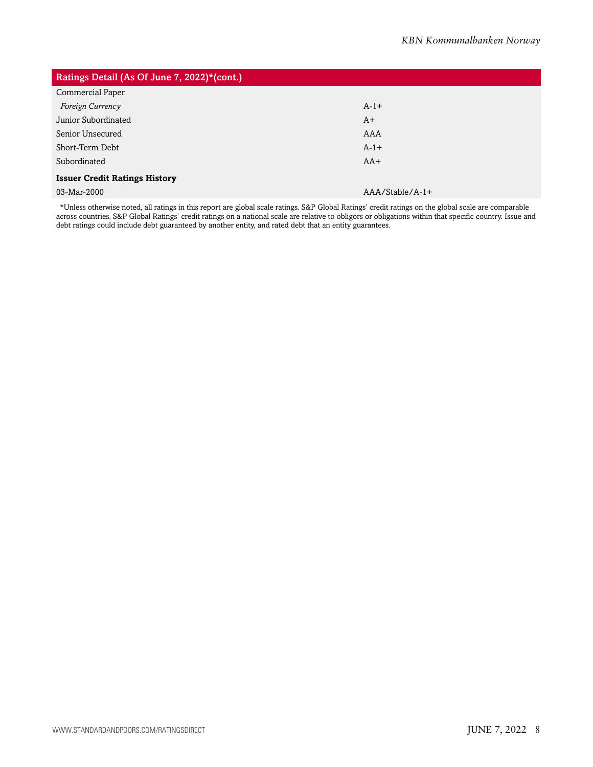| Ratings Detail (As Of June 7, 2022)*(cont.) |                   |  |  |  |
|---------------------------------------------|-------------------|--|--|--|
| Commercial Paper                            |                   |  |  |  |
| Foreign Currency                            | $A-1+$            |  |  |  |
| Junior Subordinated                         | $A+$              |  |  |  |
| Senior Unsecured                            | AAA               |  |  |  |
| Short-Term Debt                             | $A-1+$            |  |  |  |
| Subordinated                                | $AA+$             |  |  |  |
| <b>Issuer Credit Ratings History</b>        |                   |  |  |  |
| 03-Mar-2000                                 | $AAA/Stable/A-1+$ |  |  |  |

\*Unless otherwise noted, all ratings in this report are global scale ratings. S&P Global Ratings' credit ratings on the global scale are comparable across countries. S&P Global Ratings' credit ratings on a national scale are relative to obligors or obligations within that specific country. Issue and debt ratings could include debt guaranteed by another entity, and rated debt that an entity guarantees.